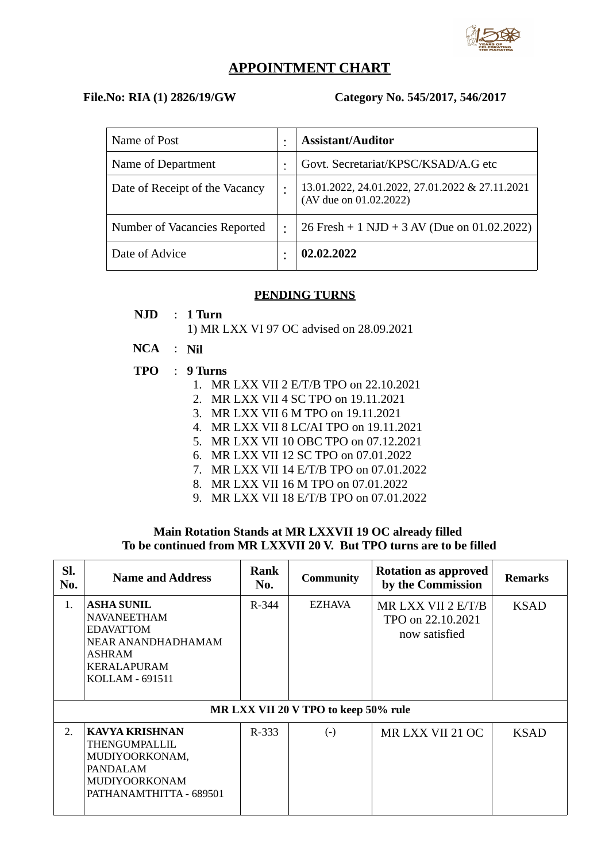

## **APPOINTMENT CHART**

### **File.No: RIA (1) 2826/19/GW Category No. 545/2017, 546/2017**

| Name of Post                   | <b>Assistant/Auditor</b>                                                  |
|--------------------------------|---------------------------------------------------------------------------|
| Name of Department             | Govt. Secretariat/KPSC/KSAD/A.G etc                                       |
| Date of Receipt of the Vacancy | 13.01.2022, 24.01.2022, 27.01.2022 & 27.11.2021<br>(AV due on 01.02.2022) |
| Number of Vacancies Reported   | 26 Fresh + 1 NJD + 3 AV (Due on 01.02.2022)                               |
| Date of Advice                 | 02.02.2022                                                                |

#### **PENDING TURNS**

- **NJD** : **1 Turn**
	- 1) MR LXX VI 97 OC advised on 28.09.2021
- **NCA** : **Nil**
- **TPO** : **9 Turns**
	- 1. MR LXX VII 2 E/T/B TPO on 22.10.2021
	- 2. MR LXX VII 4 SC TPO on 19.11.2021
	- 3. MR LXX VII 6 M TPO on 19.11.2021
	- 4. MR LXX VII 8 LC/AI TPO on 19.11.2021
	- 5. MR LXX VII 10 OBC TPO on 07.12.2021
	- 6. MR LXX VII 12 SC TPO on 07.01.2022
	- 7. MR LXX VII 14 E/T/B TPO on 07.01.2022
	- 8. MR LXX VII 16 M TPO on 07.01.2022
	- 9. MR LXX VII 18 E/T/B TPO on 07.01.2022

### **Main Rotation Stands at MR LXXVII 19 OC already filled To be continued from MR LXXVII 20 V. But TPO turns are to be filled**

| SI.<br>No. | <b>Name and Address</b>                                                                                                              | <b>Rank</b><br>No. | <b>Community</b>                     | <b>Rotation as approved</b><br>by the Commission         | <b>Remarks</b> |
|------------|--------------------------------------------------------------------------------------------------------------------------------------|--------------------|--------------------------------------|----------------------------------------------------------|----------------|
| 1.         | <b>ASHA SUNIL</b><br><b>NAVANEETHAM</b><br><b>EDAVATTOM</b><br>NEAR ANANDHADHAMAM<br>ASHRAM<br><b>KERALAPURAM</b><br>KOLLAM - 691511 |                    | EZHAVA                               | MR LXX VII 2 E/T/B<br>TPO on 22.10.2021<br>now satisfied | <b>KSAD</b>    |
|            |                                                                                                                                      |                    | MR LXX VII 20 V TPO to keep 50% rule |                                                          |                |
| 2.         | <b>KAVYA KRISHNAN</b><br>THENGUMPALLIL<br>MUDIYOORKONAM,<br>PANDALAM<br><b>MUDIYOORKONAM</b><br>PATHANAMTHITTA - 689501              | R-333              | $(-)$                                | MR LXX VII 21 OC                                         | <b>KSAD</b>    |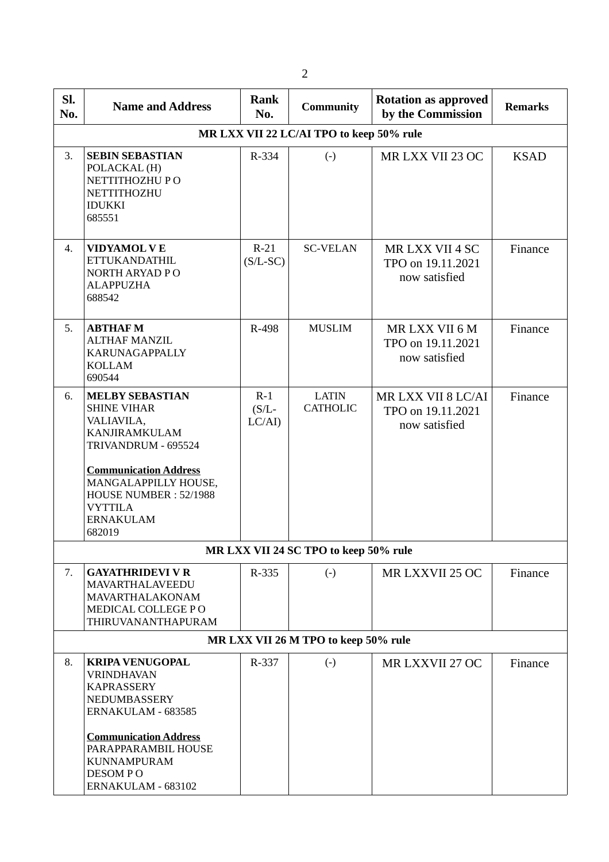| SI.<br>No. | <b>Name and Address</b>                                                                                                                                                                                                                    | Rank<br>No. | <b>Community</b>                      | <b>Rotation as approved</b><br>by the Commission         | <b>Remarks</b> |  |  |  |  |  |
|------------|--------------------------------------------------------------------------------------------------------------------------------------------------------------------------------------------------------------------------------------------|-------------|---------------------------------------|----------------------------------------------------------|----------------|--|--|--|--|--|
|            | MR LXX VII 22 LC/AI TPO to keep 50% rule                                                                                                                                                                                                   |             |                                       |                                                          |                |  |  |  |  |  |
| 3.         | <b>SEBIN SEBASTIAN</b><br>POLACKAL (H)<br>NETTITHOZHU PO<br>NETTITHOZHU<br><b>IDUKKI</b><br>685551                                                                                                                                         | R-334       | $(-)$                                 | MR LXX VII 23 OC                                         | <b>KSAD</b>    |  |  |  |  |  |
| 4.         | <b>VIDYAMOL VE</b><br><b>ETTUKANDATHIL</b><br>NORTH ARYAD PO<br><b>ALAPPUZHA</b><br>688542                                                                                                                                                 |             | <b>SC-VELAN</b>                       | MR LXX VII 4 SC<br>TPO on 19.11.2021<br>now satisfied    | Finance        |  |  |  |  |  |
| 5.         | <b>ABTHAFM</b><br><b>ALTHAF MANZIL</b><br><b>KARUNAGAPPALLY</b><br><b>KOLLAM</b><br>690544                                                                                                                                                 |             | <b>MUSLIM</b>                         | MRLXX VII 6 M<br>TPO on 19.11.2021<br>now satisfied      | Finance        |  |  |  |  |  |
| 6.         | <b>MELBY SEBASTIAN</b><br><b>SHINE VIHAR</b><br>VALIAVILA,<br><b>KANJIRAMKULAM</b><br>TRIVANDRUM - 695524<br><b>Communication Address</b><br>MANGALAPPILLY HOUSE,<br>HOUSE NUMBER: 52/1988<br><b>VYTTILA</b><br><b>ERNAKULAM</b><br>682019 |             | <b>LATIN</b><br><b>CATHOLIC</b>       | MR LXX VII 8 LC/AI<br>TPO on 19.11.2021<br>now satisfied | Finance        |  |  |  |  |  |
|            |                                                                                                                                                                                                                                            |             | MR LXX VII 24 SC TPO to keep 50% rule |                                                          |                |  |  |  |  |  |
| 7.         | <b>GAYATHRIDEVI V R</b><br>MAVARTHALAVEEDU<br>MAVARTHALAKONAM<br>MEDICAL COLLEGE PO<br>THIRUVANANTHAPURAM                                                                                                                                  | R-335       | $\left( \mathsf{-} \right)$           | MR LXXVII 25 OC                                          | Finance        |  |  |  |  |  |
|            |                                                                                                                                                                                                                                            |             | MR LXX VII 26 M TPO to keep 50% rule  |                                                          |                |  |  |  |  |  |
| 8.         | <b>KRIPA VENUGOPAL</b><br><b>VRINDHAVAN</b><br><b>KAPRASSERY</b><br>NEDUMBASSERY<br>ERNAKULAM - 683585<br><b>Communication Address</b><br>PARAPPARAMBIL HOUSE<br><b>KUNNAMPURAM</b><br>DESOM PO<br>ERNAKULAM - 683102                      | R-337       | $(-)$                                 | MR LXXVII 27 OC                                          | Finance        |  |  |  |  |  |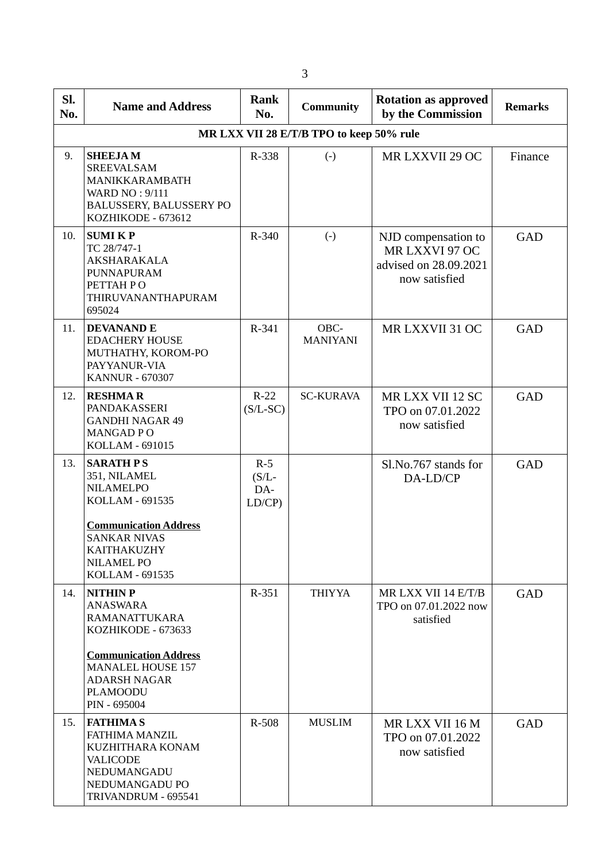| SI.<br>No. | <b>Name and Address</b>                                                                                                                 | Rank<br>No.                       | <b>Community</b>        | <b>Rotation as approved</b><br>by the Commission                                | <b>Remarks</b> |  |  |  |
|------------|-----------------------------------------------------------------------------------------------------------------------------------------|-----------------------------------|-------------------------|---------------------------------------------------------------------------------|----------------|--|--|--|
|            | MR LXX VII 28 E/T/B TPO to keep 50% rule                                                                                                |                                   |                         |                                                                                 |                |  |  |  |
| 9.         | <b>SHEEJAM</b><br><b>SREEVALSAM</b><br>MANIKKARAMBATH<br><b>WARD NO: 9/111</b><br><b>BALUSSERY, BALUSSERY PO</b><br>KOZHIKODE - 673612  | R-338                             | $\left( -\right)$       | MR LXXVII 29 OC                                                                 | Finance        |  |  |  |
| 10.        | <b>SUMIKP</b><br>TC 28/747-1<br>AKSHARAKALA<br>PUNNAPURAM<br>PETTAH PO<br>THIRUVANANTHAPURAM<br>695024                                  |                                   | $(-)$                   | NJD compensation to<br>MR LXXVI 97 OC<br>advised on 28.09.2021<br>now satisfied | <b>GAD</b>     |  |  |  |
| 11.        | <b>DEVANAND E</b><br><b>EDACHERY HOUSE</b><br>MUTHATHY, KOROM-PO<br>PAYYANUR-VIA<br><b>KANNUR - 670307</b>                              | R-341                             | OBC-<br><b>MANIYANI</b> | MR LXXVII 31 OC                                                                 | GAD            |  |  |  |
| 12.        | <b>RESHMAR</b><br>PANDAKASSERI<br><b>GANDHI NAGAR 49</b><br><b>MANGADPO</b><br>KOLLAM - 691015                                          | $R-22$<br>$(S/L-SC)$              | <b>SC-KURAVA</b>        | MR LXX VII 12 SC<br>TPO on 07.01.2022<br>now satisfied                          | <b>GAD</b>     |  |  |  |
| 13.        | <b>SARATH PS</b><br>351, NILAMEL<br><b>NILAMELPO</b><br>KOLLAM - 691535                                                                 | $R-5$<br>$(S/L -$<br>DA-<br>LD/CP |                         | Sl.No.767 stands for<br>DA-LD/CP                                                | GAD            |  |  |  |
|            | <b>Communication Address</b><br><b>SANKAR NIVAS</b><br>KAITHAKUZHY<br><b>NILAMEL PO</b><br>KOLLAM - 691535                              |                                   |                         |                                                                                 |                |  |  |  |
| 14.        | <b>NITHINP</b><br>ANASWARA<br>RAMANATTUKARA<br>KOZHIKODE - 673633<br><b>Communication Address</b><br><b>MANALEL HOUSE 157</b>           | R-351                             | <b>THIYYA</b>           | MR LXX VII 14 E/T/B<br>TPO on 07.01.2022 now<br>satisfied                       | GAD            |  |  |  |
|            | <b>ADARSH NAGAR</b><br><b>PLAMOODU</b><br>PIN - 695004                                                                                  |                                   |                         |                                                                                 |                |  |  |  |
| 15.        | <b>FATHIMAS</b><br><b>FATHIMA MANZIL</b><br>KUZHITHARA KONAM<br><b>VALICODE</b><br>NEDUMANGADU<br>NEDUMANGADU PO<br>TRIVANDRUM - 695541 | R-508                             | <b>MUSLIM</b>           | MR LXX VII 16 M<br>TPO on 07.01.2022<br>now satisfied                           | <b>GAD</b>     |  |  |  |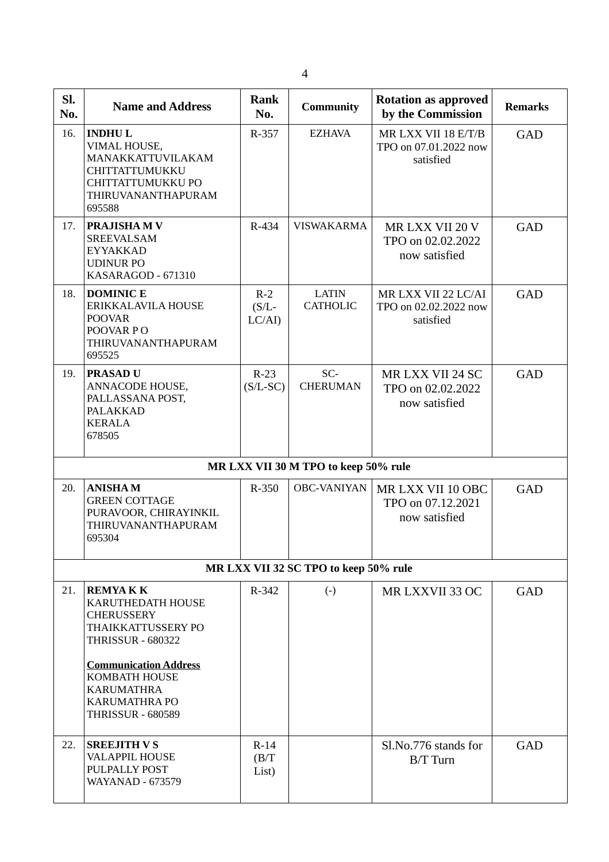| SI.<br>No. | <b>Name and Address</b>                                                                                                                                                                                                              |                             | <b>Community</b>                      | <b>Rotation as approved</b><br>by the Commission          | <b>Remarks</b> |
|------------|--------------------------------------------------------------------------------------------------------------------------------------------------------------------------------------------------------------------------------------|-----------------------------|---------------------------------------|-----------------------------------------------------------|----------------|
| 16.        | <b>INDHUL</b><br>VIMAL HOUSE,<br>MANAKKATTUVILAKAM<br>CHITTATTUMUKKU<br>CHITTATTUMUKKU PO<br>THIRUVANANTHAPURAM<br>695588                                                                                                            | R-357                       | <b>EZHAVA</b>                         | MR LXX VII 18 E/T/B<br>TPO on 07.01.2022 now<br>satisfied | GAD            |
| 17.        | <b>PRAJISHAM V</b><br><b>SREEVALSAM</b><br><b>EYYAKKAD</b><br><b>UDINUR PO</b><br>KASARAGOD - 671310                                                                                                                                 |                             | <b>VISWAKARMA</b>                     | MR LXX VII 20 V<br>TPO on 02.02.2022<br>now satisfied     | GAD            |
| 18.        | <b>DOMINIC E</b><br>ERIKKALAVILA HOUSE<br><b>POOVAR</b><br>POOVAR PO<br>THIRUVANANTHAPURAM<br>695525                                                                                                                                 | $R-2$<br>$(S/L -$<br>LC/AI) | <b>LATIN</b><br><b>CATHOLIC</b>       | MR LXX VII 22 LC/AI<br>TPO on 02.02.2022 now<br>satisfied | GAD            |
| 19.        | <b>PRASAD U</b><br>ANNACODE HOUSE,<br>PALLASSANA POST,<br>PALAKKAD<br><b>KERALA</b><br>678505                                                                                                                                        |                             | SC-<br><b>CHERUMAN</b>                | MR LXX VII 24 SC<br>TPO on 02.02.2022<br>now satisfied    | GAD            |
|            |                                                                                                                                                                                                                                      |                             | MR LXX VII 30 M TPO to keep 50% rule  |                                                           |                |
| 20.        | <b>ANISHAM</b><br><b>GREEN COTTAGE</b><br>PURAVOOR, CHIRAYINKIL<br>THIRUVANANTHAPURAM<br>695304                                                                                                                                      | R-350                       | <b>OBC-VANIYAN</b>                    | MR LXX VII 10 OBC<br>TPO on 07.12.2021<br>now satisfied   | GAD            |
|            |                                                                                                                                                                                                                                      |                             | MR LXX VII 32 SC TPO to keep 50% rule |                                                           |                |
| 21.        | <b>REMYAKK</b><br>KARUTHEDATH HOUSE<br><b>CHERUSSERY</b><br>THAIKKATTUSSERY PO<br><b>THRISSUR - 680322</b><br><b>Communication Address</b><br>KOMBATH HOUSE<br><b>KARUMATHRA</b><br><b>KARUMATHRA PO</b><br><b>THRISSUR - 680589</b> | R-342                       | $(-)$                                 | MR LXXVII 33 OC                                           | GAD            |
| 22.        | <b>SREEJITH V S</b><br><b>VALAPPIL HOUSE</b><br>PULPALLY POST<br><b>WAYANAD - 673579</b>                                                                                                                                             | $R-14$<br>(B/T)<br>List)    |                                       | Sl.No.776 stands for<br>$B/T$ Turn                        | GAD            |

4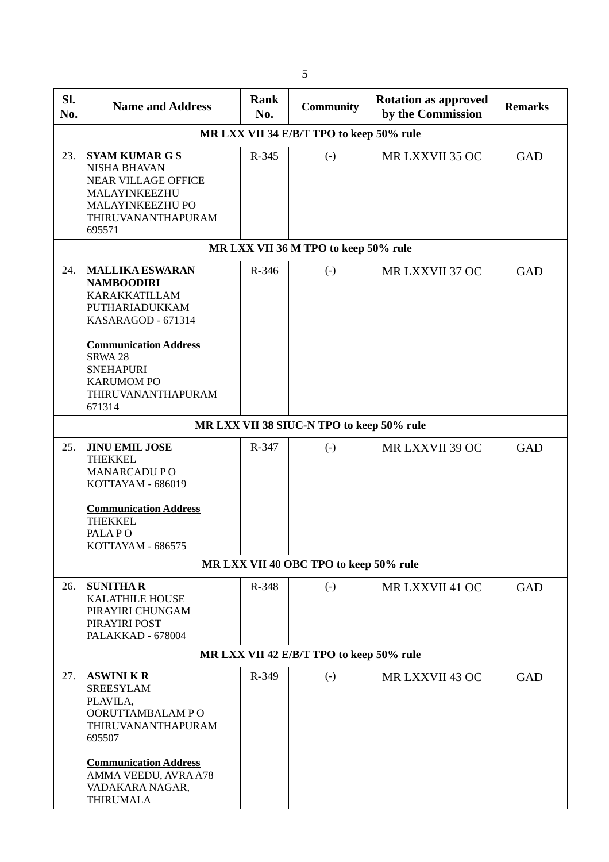| SI.<br>No. | <b>Name and Address</b>                                                                                                                                                                                                                    | Rank<br><b>Community</b><br>No. |                                           | <b>Rotation as approved</b><br>by the Commission | <b>Remarks</b> |  |  |  |  |
|------------|--------------------------------------------------------------------------------------------------------------------------------------------------------------------------------------------------------------------------------------------|---------------------------------|-------------------------------------------|--------------------------------------------------|----------------|--|--|--|--|
|            | MR LXX VII 34 E/B/T TPO to keep 50% rule                                                                                                                                                                                                   |                                 |                                           |                                                  |                |  |  |  |  |
| 23.        | <b>SYAM KUMAR G S</b><br><b>NISHA BHAVAN</b><br><b>NEAR VILLAGE OFFICE</b><br>MALAYINKEEZHU<br>MALAYINKEEZHU PO<br>THIRUVANANTHAPURAM<br>695571                                                                                            | R-345                           | $(-)$                                     | MR LXXVII 35 OC                                  | GAD            |  |  |  |  |
|            |                                                                                                                                                                                                                                            |                                 | MR LXX VII 36 M TPO to keep 50% rule      |                                                  |                |  |  |  |  |
| 24.        | <b>MALLIKA ESWARAN</b><br><b>NAMBOODIRI</b><br><b>KARAKKATILLAM</b><br>PUTHARIADUKKAM<br>KASARAGOD - 671314<br><b>Communication Address</b><br>SRWA <sub>28</sub><br><b>SNEHAPURI</b><br><b>KARUMOM PO</b><br>THIRUVANANTHAPURAM<br>671314 | R-346                           | $(-)$                                     | MR LXXVII 37 OC                                  | GAD            |  |  |  |  |
|            |                                                                                                                                                                                                                                            |                                 | MR LXX VII 38 SIUC-N TPO to keep 50% rule |                                                  |                |  |  |  |  |
| 25.        | <b>JINU EMIL JOSE</b><br><b>THEKKEL</b><br><b>MANARCADU PO</b><br>KOTTAYAM - 686019<br><b>Communication Address</b><br><b>THEKKEL</b><br>PALA PO<br>KOTTAYAM - 686575                                                                      | R-347                           | $(-)$                                     | MR LXXVII 39 OC                                  | GAD            |  |  |  |  |
|            |                                                                                                                                                                                                                                            |                                 | MR LXX VII 40 OBC TPO to keep 50% rule    |                                                  |                |  |  |  |  |
| 26.        | <b>SUNITHAR</b><br><b>KALATHILE HOUSE</b><br>PIRAYIRI CHUNGAM<br>PIRAYIRI POST<br>PALAKKAD - 678004                                                                                                                                        | R-348                           | $(-)$                                     | MR LXXVII 41 OC                                  | GAD            |  |  |  |  |
|            |                                                                                                                                                                                                                                            |                                 | MR LXX VII 42 E/B/T TPO to keep 50% rule  |                                                  |                |  |  |  |  |
| 27.        | <b>ASWINI K R</b><br><b>SREESYLAM</b><br>PLAVILA,<br>OORUTTAMBALAM PO<br>THIRUVANANTHAPURAM<br>695507<br><b>Communication Address</b><br>AMMA VEEDU, AVRA A78<br>VADAKARA NAGAR,<br><b>THIRUMALA</b>                                       | R-349                           | $(-)$                                     | MR LXXVII 43 OC                                  | GAD            |  |  |  |  |